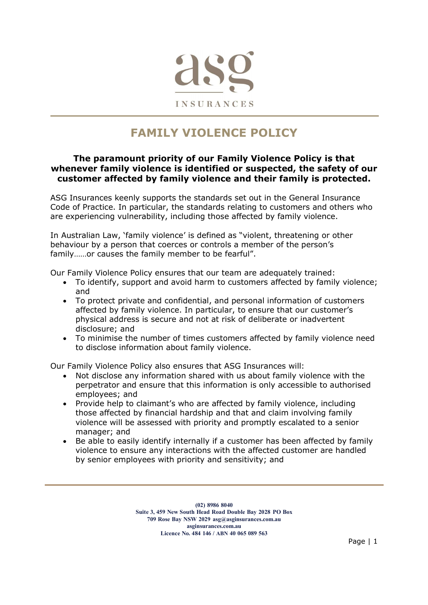

# FAMILY VIOLENCE POLICY

#### The paramount priority of our Family Violence Policy is that whenever family violence is identified or suspected, the safety of our customer affected by family violence and their family is protected.

ASG Insurances keenly supports the standards set out in the General Insurance Code of Practice. In particular, the standards relating to customers and others who are experiencing vulnerability, including those affected by family violence.

In Australian Law, 'family violence' is defined as "violent, threatening or other behaviour by a person that coerces or controls a member of the person's family……or causes the family member to be fearful".

Our Family Violence Policy ensures that our team are adequately trained:

- To identify, support and avoid harm to customers affected by family violence; and
- To protect private and confidential, and personal information of customers affected by family violence. In particular, to ensure that our customer's physical address is secure and not at risk of deliberate or inadvertent disclosure; and
- To minimise the number of times customers affected by family violence need to disclose information about family violence.

Our Family Violence Policy also ensures that ASG Insurances will:

- Not disclose any information shared with us about family violence with the perpetrator and ensure that this information is only accessible to authorised employees; and
- Provide help to claimant's who are affected by family violence, including those affected by financial hardship and that and claim involving family violence will be assessed with priority and promptly escalated to a senior manager; and
- Be able to easily identify internally if a customer has been affected by family violence to ensure any interactions with the affected customer are handled by senior employees with priority and sensitivity; and

(02) 8986 8040 Suite 3, 459 New South Head Road Double Bay 2028 PO Box 709 Rose Bay NSW 2029 asg@asginsurances.com.au asginsurances.com.au Licence No. 484 146 / ABN 40 065 089 563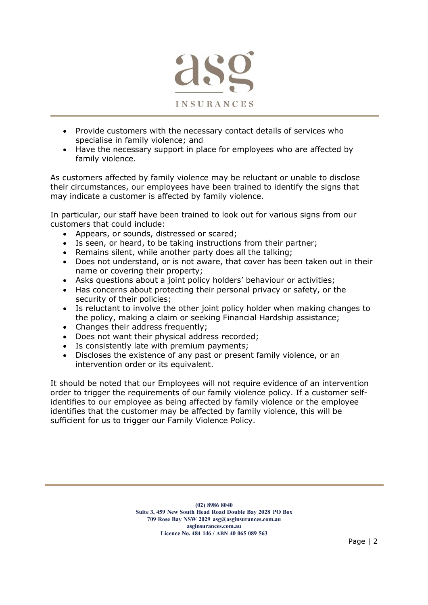

- Provide customers with the necessary contact details of services who specialise in family violence; and
- Have the necessary support in place for employees who are affected by family violence.

As customers affected by family violence may be reluctant or unable to disclose their circumstances, our employees have been trained to identify the signs that may indicate a customer is affected by family violence.

In particular, our staff have been trained to look out for various signs from our customers that could include:

- Appears, or sounds, distressed or scared;
- Is seen, or heard, to be taking instructions from their partner;
- Remains silent, while another party does all the talking;
- Does not understand, or is not aware, that cover has been taken out in their name or covering their property;
- Asks questions about a joint policy holders' behaviour or activities;
- Has concerns about protecting their personal privacy or safety, or the security of their policies;
- Is reluctant to involve the other joint policy holder when making changes to the policy, making a claim or seeking Financial Hardship assistance;
- Changes their address frequently;
- Does not want their physical address recorded:
- Is consistently late with premium payments;
- Discloses the existence of any past or present family violence, or an intervention order or its equivalent.

It should be noted that our Employees will not require evidence of an intervention order to trigger the requirements of our family violence policy. If a customer selfidentifies to our employee as being affected by family violence or the employee identifies that the customer may be affected by family violence, this will be sufficient for us to trigger our Family Violence Policy.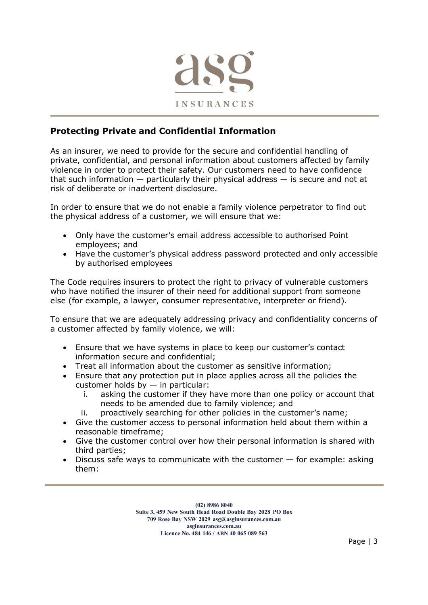

# Protecting Private and Confidential Information

As an insurer, we need to provide for the secure and confidential handling of private, confidential, and personal information about customers affected by family violence in order to protect their safety. Our customers need to have confidence that such information — particularly their physical address — is secure and not at risk of deliberate or inadvertent disclosure.

In order to ensure that we do not enable a family violence perpetrator to find out the physical address of a customer, we will ensure that we:

- Only have the customer's email address accessible to authorised Point employees; and
- Have the customer's physical address password protected and only accessible by authorised employees

The Code requires insurers to protect the right to privacy of vulnerable customers who have notified the insurer of their need for additional support from someone else (for example, a lawyer, consumer representative, interpreter or friend).

To ensure that we are adequately addressing privacy and confidentiality concerns of a customer affected by family violence, we will:

- Ensure that we have systems in place to keep our customer's contact information secure and confidential;
- Treat all information about the customer as sensitive information;
- Ensure that any protection put in place applies across all the policies the customer holds by  $-$  in particular:
	- i. asking the customer if they have more than one policy or account that needs to be amended due to family violence; and
	- ii. proactively searching for other policies in the customer's name;
- Give the customer access to personal information held about them within a reasonable timeframe;
- Give the customer control over how their personal information is shared with third parties;
- $\bullet$  Discuss safe ways to communicate with the customer  $-$  for example: asking them:

(02) 8986 8040 Suite 3, 459 New South Head Road Double Bay 2028 PO Box 709 Rose Bay NSW 2029 asg@asginsurances.com.au asginsurances.com.au Licence No. 484 146 / ABN 40 065 089 563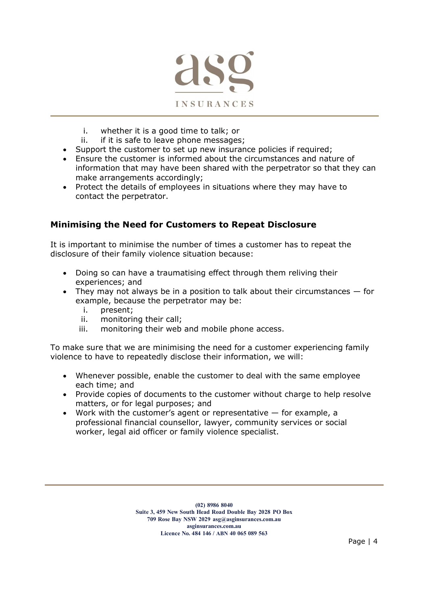

- i. whether it is a good time to talk; or
- ii. if it is safe to leave phone messages;
- Support the customer to set up new insurance policies if required;
- Ensure the customer is informed about the circumstances and nature of information that may have been shared with the perpetrator so that they can make arrangements accordingly;
- Protect the details of employees in situations where they may have to contact the perpetrator.

### Minimising the Need for Customers to Repeat Disclosure

It is important to minimise the number of times a customer has to repeat the disclosure of their family violence situation because:

- Doing so can have a traumatising effect through them reliving their experiences; and
- They may not always be in a position to talk about their circumstances  $-$  for example, because the perpetrator may be:
	- i. present;
	- ii. monitoring their call;
	- iii. monitoring their web and mobile phone access.

To make sure that we are minimising the need for a customer experiencing family violence to have to repeatedly disclose their information, we will:

- Whenever possible, enable the customer to deal with the same employee each time; and
- Provide copies of documents to the customer without charge to help resolve matters, or for legal purposes; and
- Work with the customer's agent or representative for example, a professional financial counsellor, lawyer, community services or social worker, legal aid officer or family violence specialist.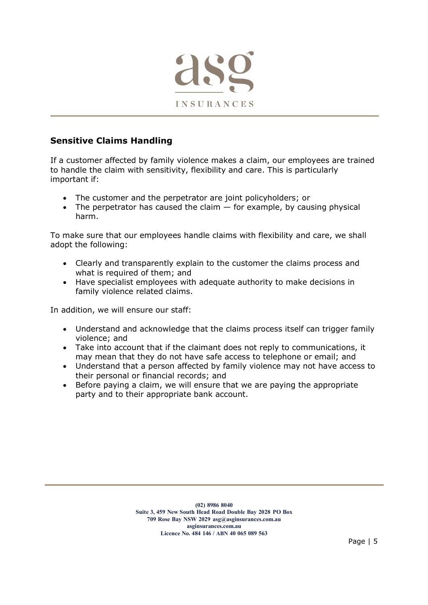

# Sensitive Claims Handling

If a customer affected by family violence makes a claim, our employees are trained to handle the claim with sensitivity, flexibility and care. This is particularly important if:

- The customer and the perpetrator are joint policyholders; or
- $\bullet$  The perpetrator has caused the claim  $-$  for example, by causing physical harm.

To make sure that our employees handle claims with flexibility and care, we shall adopt the following:

- Clearly and transparently explain to the customer the claims process and what is required of them; and
- Have specialist employees with adequate authority to make decisions in family violence related claims.

In addition, we will ensure our staff:

- Understand and acknowledge that the claims process itself can trigger family violence; and
- Take into account that if the claimant does not reply to communications, it may mean that they do not have safe access to telephone or email; and
- Understand that a person affected by family violence may not have access to their personal or financial records; and
- Before paying a claim, we will ensure that we are paying the appropriate party and to their appropriate bank account.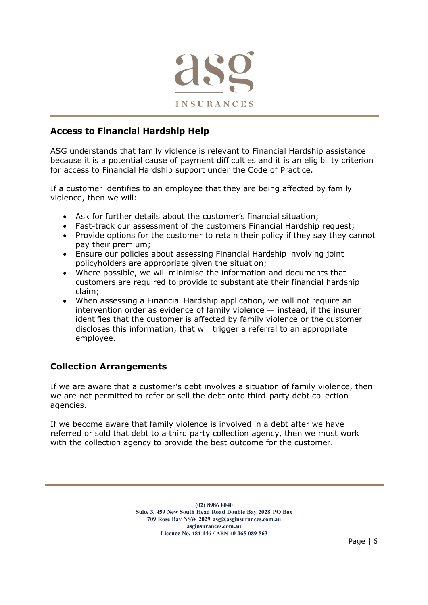

# Access to Financial Hardship Help

ASG understands that family violence is relevant to Financial Hardship assistance because it is a potential cause of payment difficulties and it is an eligibility criterion for access to Financial Hardship support under the Code of Practice.

If a customer identifies to an employee that they are being affected by family violence, then we will:

- Ask for further details about the customer's financial situation;
- Fast-track our assessment of the customers Financial Hardship request;
- Provide options for the customer to retain their policy if they say they cannot pay their premium;
- Ensure our policies about assessing Financial Hardship involving joint policyholders are appropriate given the situation;
- Where possible, we will minimise the information and documents that customers are required to provide to substantiate their financial hardship claim;
- When assessing a Financial Hardship application, we will not require an intervention order as evidence of family violence — instead, if the insurer identifies that the customer is affected by family violence or the customer discloses this information, that will trigger a referral to an appropriate employee.

# Collection Arrangements

If we are aware that a customer's debt involves a situation of family violence, then we are not permitted to refer or sell the debt onto third-party debt collection agencies.

If we become aware that family violence is involved in a debt after we have referred or sold that debt to a third party collection agency, then we must work with the collection agency to provide the best outcome for the customer.

> (02) 8986 8040 Suite 3, 459 New South Head Road Double Bay 2028 PO Box 709 Rose Bay NSW 2029 asg@asginsurances.com.au asginsurances.com.au Licence No. 484 146 / ABN 40 065 089 563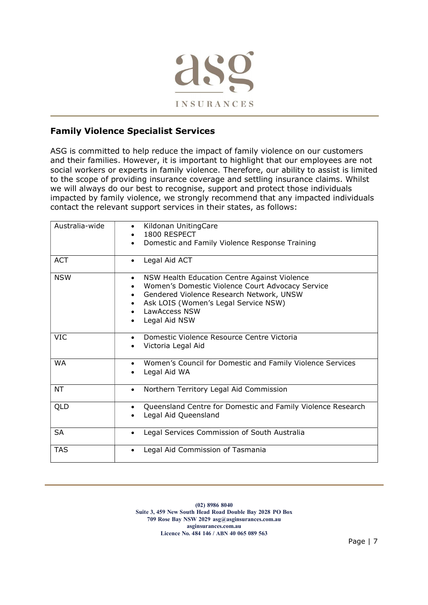

# Family Violence Specialist Services

ASG is committed to help reduce the impact of family violence on our customers and their families. However, it is important to highlight that our employees are not social workers or experts in family violence. Therefore, our ability to assist is limited to the scope of providing insurance coverage and settling insurance claims. Whilst we will always do our best to recognise, support and protect those individuals impacted by family violence, we strongly recommend that any impacted individuals contact the relevant support services in their states, as follows:

| Australia-wide | Kildonan UnitingCare<br>$\bullet$<br>1800 RESPECT<br>Domestic and Family Violence Response Training                                                                                                                                                     |
|----------------|---------------------------------------------------------------------------------------------------------------------------------------------------------------------------------------------------------------------------------------------------------|
| <b>ACT</b>     | Legal Aid ACT<br>$\bullet$                                                                                                                                                                                                                              |
| <b>NSW</b>     | NSW Health Education Centre Against Violence<br>Women's Domestic Violence Court Advocacy Service<br>Gendered Violence Research Network, UNSW<br>$\bullet$<br>Ask LOIS (Women's Legal Service NSW)<br>$\bullet$<br><b>LawAccess NSW</b><br>Legal Aid NSW |
| <b>VIC</b>     | Domestic Violence Resource Centre Victoria<br>Victoria Legal Aid                                                                                                                                                                                        |
| <b>WA</b>      | Women's Council for Domestic and Family Violence Services<br>Legal Aid WA                                                                                                                                                                               |
| NT             | Northern Territory Legal Aid Commission<br>$\bullet$                                                                                                                                                                                                    |
| QLD            | Queensland Centre for Domestic and Family Violence Research<br>Legal Aid Queensland                                                                                                                                                                     |
| <b>SA</b>      | Legal Services Commission of South Australia                                                                                                                                                                                                            |
| <b>TAS</b>     | Legal Aid Commission of Tasmania<br>$\bullet$                                                                                                                                                                                                           |